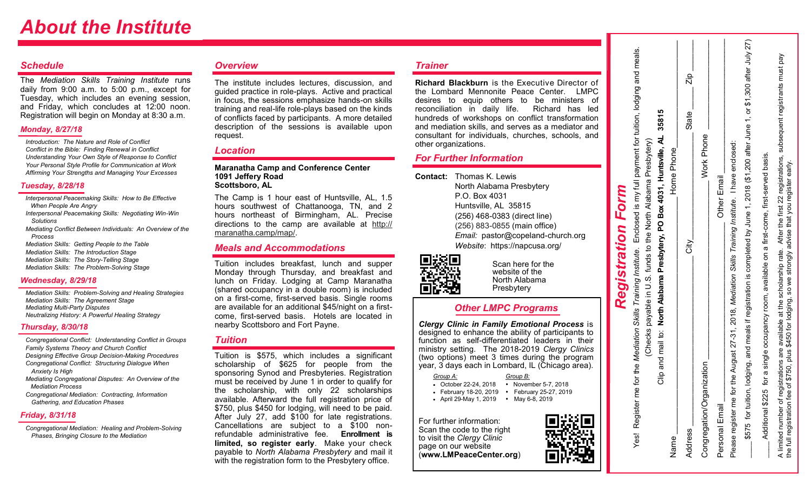## *About the Institute*

#### *Schedule*

The *Mediation Skills Training Institute* runs daily from 9:00 a.m. to 5:00 p.m., except for Tuesday, which includes an evening session, and Friday, which concludes at 12:00 noon. Registration will begin on Monday at 8:30 a.m.

#### *Monday, 8/27/18*

*Introduction: The Nature and Role of Conflict Conflict in the Bible: Finding Renewal in Conflict Understanding Your Own Style of Response to Conflict Your Personal Style Profile for Communication at Work Affirming Your Strengths and Managing Your Excesses*

#### *Tuesday, 8/28/18*

 *Interpersonal Peacemaking Skills: How to Be Effective When People Are Angry*

- *Interpersonal Peacemaking Skills: Negotiating Win-Win Solutions*
- *Mediating Conflict Between Individuals: An Overview of the Process*

 *Mediation Skills: Getting People to the Table Mediation Skills: The Introduction Stage Mediation Skills: The Story-Telling Stage Mediation Skills: The Problem-Solving Stage*

#### *Wednesday, 8/29/18*

 *Mediation Skills: Problem-Solving and Healing Strategies Mediation Skills: The Agreement Stage Mediating Multi-Party Disputes Neutralizing History: A Powerful Healing Strategy*

#### *Thursday, 8/30/18*

 *Congregational Conflict: Understanding Conflict in Groups Family Systems Theory and Church Conflict Designing Effective Group Decision-Making Procedures Congregational Conflict: Structuring Dialogue When Anxiety Is High*

 *Mediating Congregational Disputes: An Overview of the Mediation Process*

 *Congregational Mediation: Contracting, Information Gathering, and Education Phases*

#### *Friday, 8/31/18*

 *Congregational Mediation: Healing and Problem-Solving Phases, Bringing Closure to the Mediation*

#### *Overview*

The institute includes lectures, discussion, and guided practice in role-plays. Active and practical in focus, the sessions emphasize hands-on skills training and real-life role-plays based on the kinds of conflicts faced by participants. A more detailed description of the sessions is available upon request.

#### *Location*

**Maranatha Camp and Conference Center 1091 Jeffery Road Scottsboro, AL** 

The Camp is 1 hour east of Huntsville, AL, 1.5 hours southwest of Chattanooga, TN, and 2 hours northeast of Birmingham, AL. Precise directions to the camp are available at [http://](http://maranatha.camp/?ref=maranathaccc.com) [maranatha.camp/map/.](http://maranatha.camp/?ref=maranathaccc.com)

#### *Meals and Accommodations*

Tuition includes breakfast, lunch and supper Monday through Thursday, and breakfast and lunch on Friday. Lodging at Camp Maranatha (shared occupancy in a double room) is included on a first-come, first-served basis. Single rooms are available for an additional \$45/night on a firstcome, first-served basis. Hotels are located in nearby Scottsboro and Fort Payne.

#### *Tuition*

Tuition is \$575, which includes a significant scholarship of \$625 for people from the sponsoring Synod and Presbyteries. Registration must be received by June 1 in order to qualify for the scholarship, with only 22 scholarships available. Afterward the full registration price of \$750, plus \$450 for lodging, will need to be paid. After July 27, add \$100 for late registrations. Cancellations are subject to a \$100 nonrefundable administrative fee. **Enrollment is limited, so register early**. Make your check payable to *North Alabama Presbytery* and mail it with the registration form to the Presbytery office.

#### *Trainer*

**Richard Blackburn** is the Executive Director of the Lombard Mennonite Peace Center. LMPC desires to equip others to be ministers of reconciliation in daily life. Richard has led hundreds of workshops on conflict transformation and mediation skills, and serves as a mediator and consultant for individuals, churches, schools, and other organizations.

#### *For Further Information*

**Contact:** Thomas K. Lewis North Alabama Presbytery P.O. Box 4031 Huntsville, AL 35815 (256) 468-0383 (direct line) [\(256\) 883](tel:(256)%20883-0855)-0855 (main office) *Email:* pastor@copeland-church.org *Website*: https://napcusa.org/



Scan here for the website of the North Alabama Presbytery

#### *Other LMPC Programs*

*Clergy Clinic in Family Emotional Process* is designed to enhance the ability of participants to function as self-differentiated leaders in their ministry setting. The 2018-2019 *Clergy Clinics*  (two options) meet 3 times during the program year, 3 days each in Lombard, IL (Chicago area).

*Group A: Group B:*

- October 22-24, 2018 November 5-7, 2018
- February 18-20, 2019 February 25-27, 2019
- April 29-May 1, 2019 May 6-8, 2019

For further information: Scan the code to the right to visit the *Clergy Clinic*  page on our website (**www.LMPeaceCenter.org**)



|                           | Checks payable in U.S. funds to the North Alabama Presbytery)                 |  |
|---------------------------|-------------------------------------------------------------------------------|--|
|                           | Clip and mail to: North Alabama Presbytery, PO Box 4031, Huntsville, AL 35815 |  |
| Name                      | Home Phone                                                                    |  |
| Address                   | $\frac{2ip}{i}$<br>State                                                      |  |
| Congregation/Organization | Work Phone                                                                    |  |

*Registration Form*  Yes! Register me for the *Mediation Skills Training Institute*. Enclosed is my full payment for tuition, lodging and meals.

Registration

Yes! Register me for the Mediation Skills Training Institute.

Form

Enclosed is my full payment for tuition, lodging and meals.

Presbytery)

Alabama

the North

 $\frac{1}{2}$ 

funds

payable in U.S.

(Checks

| ă             |                                         |                          |
|---------------|-----------------------------------------|--------------------------|
| State         | hone <sup>1</sup>                       |                          |
| $\frac{1}{2}$ | lork Pi                                 | $\ddot{\phantom{a}}$     |
| l<br>ssalpp   | ⊥au<br>- 1101001<br>5<br>Congregation/C | j<br>$\overline{a}$<br>I |

|          | <b>Other Email</b>    | )<br>)<br>)<br>)<br>)<br>he for the August 27-31, 2018, Mediation Skills Training Institute. I have enclosed |
|----------|-----------------------|--------------------------------------------------------------------------------------------------------------|
| ļ<br>֚֘֝ | Ī<br>í<br>Ó<br>à<br>ı | ster m+<br>d                                                                                                 |

 $\text{S575 for lution, looging, and means if registration is completed by June 1, 2018 ($1, 200 after June 1, one at New June 1, so $1,300 after July 27) }$ 2018 (\$1,200 after  $\div$ June completed by for tuition, lodging, and meals if registration is \$575

June 1, or \$1,300 after July 27)

yed

subsequent registrants must \_\_\_\_ Additional \$225 for a single occupancy room, available on a first-come, first-served basis. first-served basis. the first 22 registrations,<br>that you register early. on a first-come, After 1 scholarship rate. occupancy room, available e available at the s<br>\$450 for lodging, s are 3<br>plus \$ for a single registrations a<br>fee of \$750, plu \$225 A limited number of reg<br>the full registration fee Additional

A limited number of registrations are available at the scholarship rate. After the first 22 registrations, subsequent registrants must pay

advise

strongly

 $\mathsf{v}$  ${\tt s}$ 

the full registration fee of \$750, plus \$450 for lodging, so we strongly advise that you register early.

lodging,